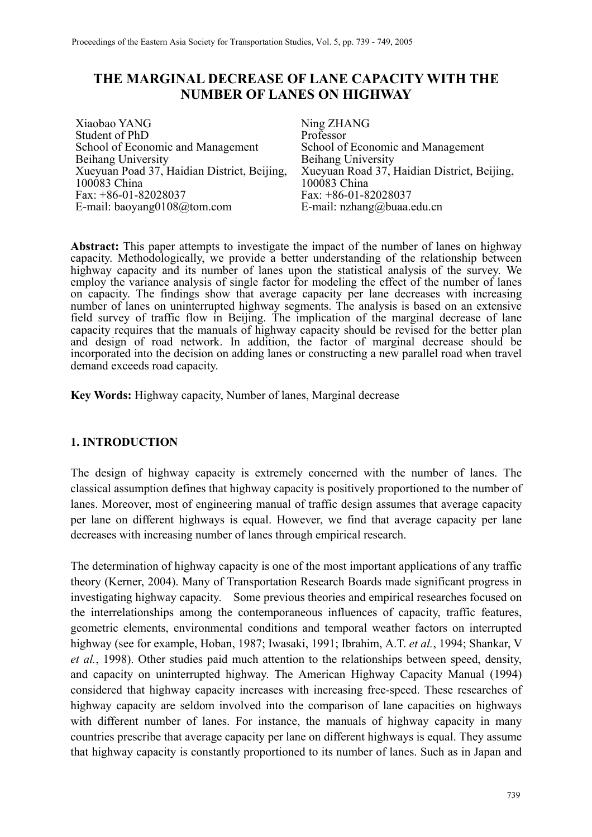# **THE MARGINAL DECREASE OF LANE CAPACITY WITH THE NUMBER OF LANES ON HIGHWAY**

Xiaobao YANG Student of PhD School of Economic and Management Beihang University Xueyuan Poad 37, Haidian District, Beijing, 100083 China Fax: +86-01-82028037 E-mail: baoyang0108@tom.com

Ning ZHANG Professor School of Economic and Management Beihang University Xueyuan Road 37, Haidian District, Beijing, 100083 China Fax: +86-01-82028037 E-mail: nzhang@buaa.edu.cn

**Abstract:** This paper attempts to investigate the impact of the number of lanes on highway capacity. Methodologically, we provide a better understanding of the relationship between highway capacity and its number of lanes upon the statistical analysis of the survey. We employ the variance analysis of single factor for modeling the effect of the number of lanes on capacity. The findings show that average capacity per lane decreases with increasing number of lanes on uninterrupted highway segments. The analysis is based on an extensive field survey of traffic flow in Beijing. The implication of the marginal decrease of lane capacity requires that the manuals of highway capacity should be revised for the better plan and design of road network. In addition, the factor of marginal decrease should be incorporated into the decision on adding lanes or constructing a new parallel road when travel demand exceeds road capacity.

**Key Words:** Highway capacity, Number of lanes, Marginal decrease

### **1. INTRODUCTION**

The design of highway capacity is extremely concerned with the number of lanes. The classical assumption defines that highway capacity is positively proportioned to the number of lanes. Moreover, most of engineering manual of traffic design assumes that average capacity per lane on different highways is equal. However, we find that average capacity per lane decreases with increasing number of lanes through empirical research.

The determination of highway capacity is one of the most important applications of any traffic theory (Kerner, 2004). Many of Transportation Research Boards made significant progress in investigating highway capacity. Some previous theories and empirical researches focused on the interrelationships among the contemporaneous influences of capacity, traffic features, geometric elements, environmental conditions and temporal weather factors on interrupted highway (see for example, Hoban, 1987; Iwasaki, 1991; Ibrahim, A.T. *et al.*, 1994; Shankar, V *et al.*, 1998). Other studies paid much attention to the relationships between speed, density, and capacity on uninterrupted highway. The American Highway Capacity Manual (1994) considered that highway capacity increases with increasing free-speed. These researches of highway capacity are seldom involved into the comparison of lane capacities on highways with different number of lanes. For instance, the manuals of highway capacity in many countries prescribe that average capacity per lane on different highways is equal. They assume that highway capacity is constantly proportioned to its number of lanes. Such as in Japan and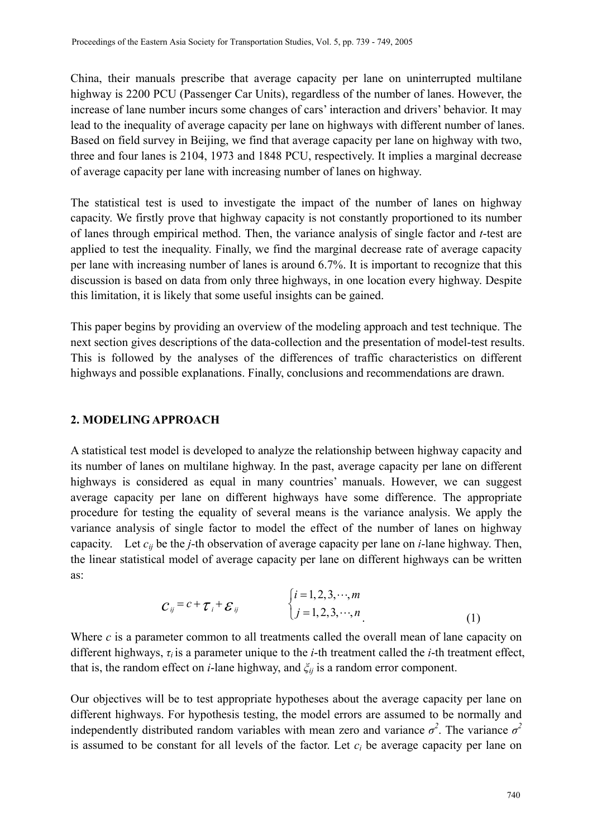China, their manuals prescribe that average capacity per lane on uninterrupted multilane highway is 2200 PCU (Passenger Car Units), regardless of the number of lanes. However, the increase of lane number incurs some changes of cars' interaction and drivers' behavior. It may lead to the inequality of average capacity per lane on highways with different number of lanes. Based on field survey in Beijing, we find that average capacity per lane on highway with two, three and four lanes is 2104, 1973 and 1848 PCU, respectively. It implies a marginal decrease of average capacity per lane with increasing number of lanes on highway.

The statistical test is used to investigate the impact of the number of lanes on highway capacity. We firstly prove that highway capacity is not constantly proportioned to its number of lanes through empirical method. Then, the variance analysis of single factor and *t*-test are applied to test the inequality. Finally, we find the marginal decrease rate of average capacity per lane with increasing number of lanes is around 6.7%. It is important to recognize that this discussion is based on data from only three highways, in one location every highway. Despite this limitation, it is likely that some useful insights can be gained.

This paper begins by providing an overview of the modeling approach and test technique. The next section gives descriptions of the data-collection and the presentation of model-test results. This is followed by the analyses of the differences of traffic characteristics on different highways and possible explanations. Finally, conclusions and recommendations are drawn.

### **2. MODELING APPROACH**

A statistical test model is developed to analyze the relationship between highway capacity and its number of lanes on multilane highway. In the past, average capacity per lane on different highways is considered as equal in many countries' manuals. However, we can suggest average capacity per lane on different highways have some difference. The appropriate procedure for testing the equality of several means is the variance analysis. We apply the variance analysis of single factor to model the effect of the number of lanes on highway capacity. Let *cij* be the *j*-th observation of average capacity per lane on *i*-lane highway. Then, the linear statistical model of average capacity per lane on different highways can be written as:

$$
C_{ij} = c + \tau_i + \varepsilon_{ij} \qquad \begin{cases} i = 1, 2, 3, \cdots, m \\ j = 1, 2, 3, \cdots, n \end{cases} \tag{1}
$$

Where *c* is a parameter common to all treatments called the overall mean of lane capacity on different highways, *τ<sup>i</sup>* is a parameter unique to the *i*-th treatment called the *i*-th treatment effect, that is, the random effect on *i*-lane highway, and *ξij* is a random error component.

Our objectives will be to test appropriate hypotheses about the average capacity per lane on different highways. For hypothesis testing, the model errors are assumed to be normally and independently distributed random variables with mean zero and variance  $\sigma^2$ . The variance  $\sigma^2$ is assumed to be constant for all levels of the factor. Let  $c_i$  be average capacity per lane on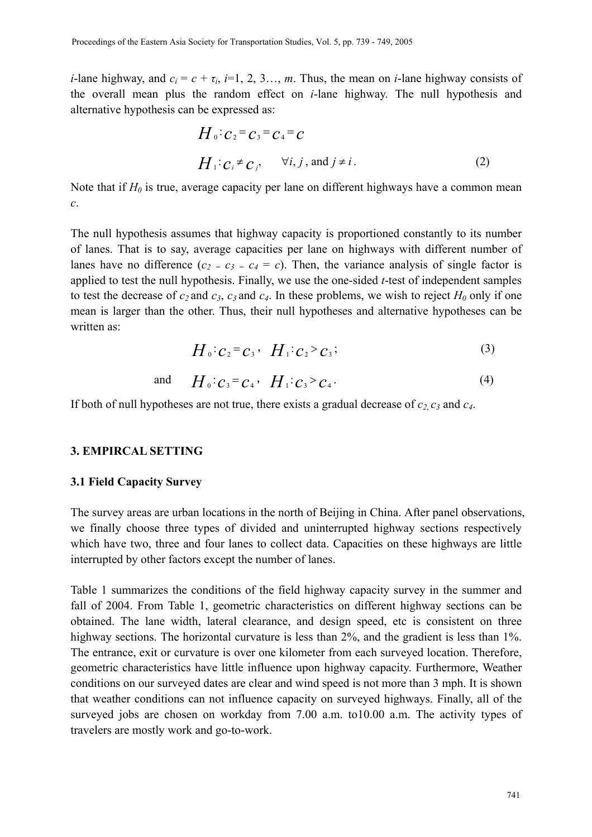*i*-lane highway, and  $c_i = c + \tau_i$ , *i*=1, 2, 3…, *m*. Thus, the mean on *i*-lane highway consists of the overall mean plus the random effect on *i*-lane highway. The null hypothesis and alternative hypothesis can be expressed as:

$$
H_0: c_2 = c_3 = c_4 = c
$$
  
\n
$$
H_1: c_i \neq c_j, \quad \forall i, j, \text{ and } j \neq i.
$$
 (2)

Note that if  $H_0$  is true, average capacity per lane on different highways have a common mean *c*.

The null hypothesis assumes that highway capacity is proportioned constantly to its number of lanes. That is to say, average capacities per lane on highways with different number of lanes have no difference  $(c_2 = c_3 = c_4 = c)$ . Then, the variance analysis of single factor is applied to test the null hypothesis. Finally, we use the one-sided *t*-test of independent samples to test the decrease of  $c_2$  and  $c_3$ ,  $c_3$  and  $c_4$ . In these problems, we wish to reject  $H_0$  only if one mean is larger than the other. Thus, their null hypotheses and alternative hypotheses can be written as:

$$
H_0 \cdot c_2 = c_3 \cdot H_1 \cdot c_2 > c_3;
$$
 (3)

and 
$$
H_0: c_3 = c_4
$$
,  $H_1: c_3 > c_4$ . (4)

If both of null hypotheses are not true, there exists a gradual decrease of *c2*, *c3* and *c4*.

### **3. EMPIRCAL SETTING**

#### **3.1 Field Capacity Survey**

The survey areas are urban locations in the north of Beijing in China. After panel observations, we finally choose three types of divided and uninterrupted highway sections respectively which have two, three and four lanes to collect data. Capacities on these highways are little interrupted by other factors except the number of lanes.

Table 1 summarizes the conditions of the field highway capacity survey in the summer and fall of 2004. From Table 1, geometric characteristics on different highway sections can be obtained. The lane width, lateral clearance, and design speed, etc is consistent on three highway sections. The horizontal curvature is less than 2%, and the gradient is less than 1%. The entrance, exit or curvature is over one kilometer from each surveyed location. Therefore, geometric characteristics have little influence upon highway capacity. Furthermore, Weather conditions on our surveyed dates are clear and wind speed is not more than 3 mph. It is shown that weather conditions can not influence capacity on surveyed highways. Finally, all of the surveyed jobs are chosen on workday from 7.00 a.m. to10.00 a.m. The activity types of travelers are mostly work and go-to-work.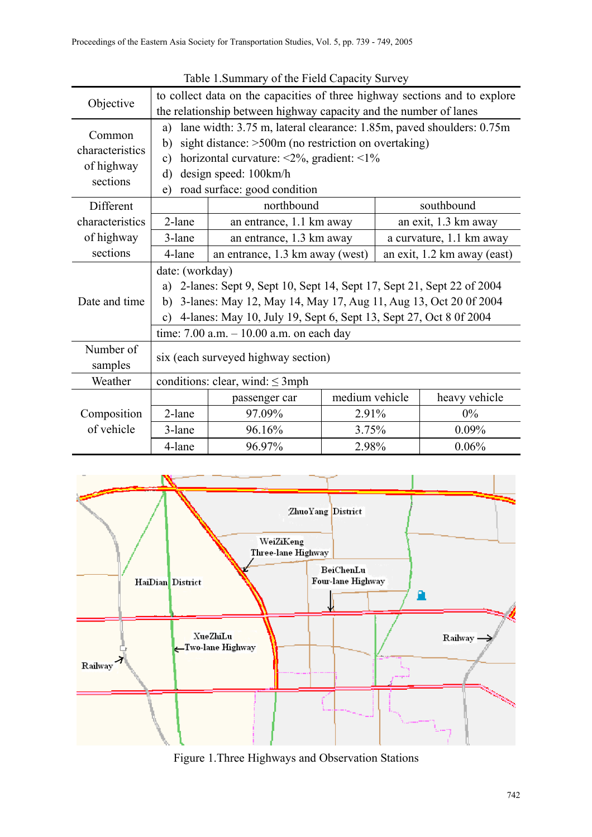| Objective                 | to collect data on the capacities of three highway sections and to explore            |                                                      |                |                             |                          |  |
|---------------------------|---------------------------------------------------------------------------------------|------------------------------------------------------|----------------|-----------------------------|--------------------------|--|
|                           | the relationship between highway capacity and the number of lanes                     |                                                      |                |                             |                          |  |
| Common<br>characteristics | lane width: 3.75 m, lateral clearance: 1.85m, paved shoulders: 0.75m<br>a)            |                                                      |                |                             |                          |  |
|                           | b)                                                                                    | sight distance: >500m (no restriction on overtaking) |                |                             |                          |  |
|                           | horizontal curvature: $\langle 2\%,$ gradient: $\langle 1\% \rangle$<br>$\mathbf{c})$ |                                                      |                |                             |                          |  |
| of highway<br>sections    | $\rm d$                                                                               | design speed: 100km/h                                |                |                             |                          |  |
|                           | road surface: good condition<br>$\epsilon$ )                                          |                                                      |                |                             |                          |  |
| Different                 |                                                                                       | northbound                                           |                |                             | southbound               |  |
| characteristics           | 2-lane<br>an entrance, 1.1 km away                                                    |                                                      |                | an exit, 1.3 km away        |                          |  |
| of highway                | 3-lane                                                                                | an entrance, 1.3 km away                             |                |                             | a curvature, 1.1 km away |  |
| sections                  | 4-lane                                                                                | an entrance, 1.3 km away (west)                      |                | an exit, 1.2 km away (east) |                          |  |
|                           | date: (workday)                                                                       |                                                      |                |                             |                          |  |
|                           | 2-lanes: Sept 9, Sept 10, Sept 14, Sept 17, Sept 21, Sept 22 of 2004<br>a)            |                                                      |                |                             |                          |  |
| Date and time             | 3-lanes: May 12, May 14, May 17, Aug 11, Aug 13, Oct 20 0f 2004<br>b)                 |                                                      |                |                             |                          |  |
|                           | 4-lanes: May 10, July 19, Sept 6, Sept 13, Sept 27, Oct 8 0f 2004<br>$\mathbf{c}$ )   |                                                      |                |                             |                          |  |
|                           | time: $7.00$ a.m. $-10.00$ a.m. on each day                                           |                                                      |                |                             |                          |  |
| Number of<br>samples      | six (each surveyed highway section)                                                   |                                                      |                |                             |                          |  |
| Weather                   | conditions: clear, wind: $\leq$ 3mph                                                  |                                                      |                |                             |                          |  |
| Composition<br>of vehicle |                                                                                       | passenger car                                        | medium vehicle |                             | heavy vehicle            |  |
|                           | 2-lane                                                                                | 97.09%                                               | 2.91%          |                             | $0\%$                    |  |
|                           | 3-lane                                                                                | 96.16%                                               | 3.75%          |                             | 0.09%                    |  |
|                           | 4-lane                                                                                | 96.97%                                               |                | 2.98%                       | 0.06%                    |  |

Table 1.Summary of the Field Capacity Survey



Figure 1.Three Highways and Observation Stations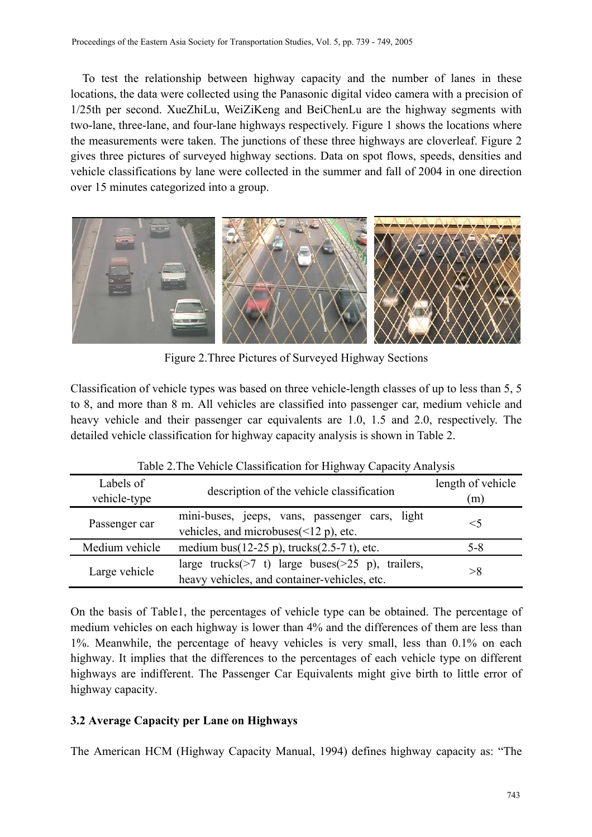To test the relationship between highway capacity and the number of lanes in these locations, the data were collected using the Panasonic digital video camera with a precision of 1/25th per second. XueZhiLu, WeiZiKeng and BeiChenLu are the highway segments with two-lane, three-lane, and four-lane highways respectively. Figure 1 shows the locations where the measurements were taken. The junctions of these three highways are cloverleaf. Figure 2 gives three pictures of surveyed highway sections. Data on spot flows, speeds, densities and vehicle classifications by lane were collected in the summer and fall of 2004 in one direction over 15 minutes categorized into a group.



Figure 2.Three Pictures of Surveyed Highway Sections

Classification of vehicle types was based on three vehicle-length classes of up to less than 5, 5 to 8, and more than 8 m. All vehicles are classified into passenger car, medium vehicle and heavy vehicle and their passenger car equivalents are 1.0, 1.5 and 2.0, respectively. The detailed vehicle classification for highway capacity analysis is shown in Table 2.

| $r_{\text{max}} = r_{\text{max}}$ |                                                        |                          |  |  |  |
|-----------------------------------|--------------------------------------------------------|--------------------------|--|--|--|
| Labels of<br>vehicle-type         | description of the vehicle classification              | length of vehicle<br>(m) |  |  |  |
|                                   |                                                        |                          |  |  |  |
| Passenger car                     | mini-buses, jeeps, vans, passenger cars, light         | $<$ 5                    |  |  |  |
|                                   | vehicles, and microbuses $(\leq 12 \text{ p})$ , etc.  |                          |  |  |  |
| Medium vehicle                    | medium bus(12-25 p), trucks(2.5-7 t), etc.             | $5 - 8$                  |  |  |  |
| Large vehicle                     | large trucks( $>7$ t) large buses( $>25$ p), trailers, | >8                       |  |  |  |
|                                   | heavy vehicles, and container-vehicles, etc.           |                          |  |  |  |

Table 2.The Vehicle Classification for Highway Capacity Analysis

On the basis of Table1, the percentages of vehicle type can be obtained. The percentage of medium vehicles on each highway is lower than 4% and the differences of them are less than 1%. Meanwhile, the percentage of heavy vehicles is very small, less than 0.1% on each highway. It implies that the differences to the percentages of each vehicle type on different highways are indifferent. The Passenger Car Equivalents might give birth to little error of highway capacity.

# **3.2 Average Capacity per Lane on Highways**

The American HCM (Highway Capacity Manual, 1994) defines highway capacity as: "The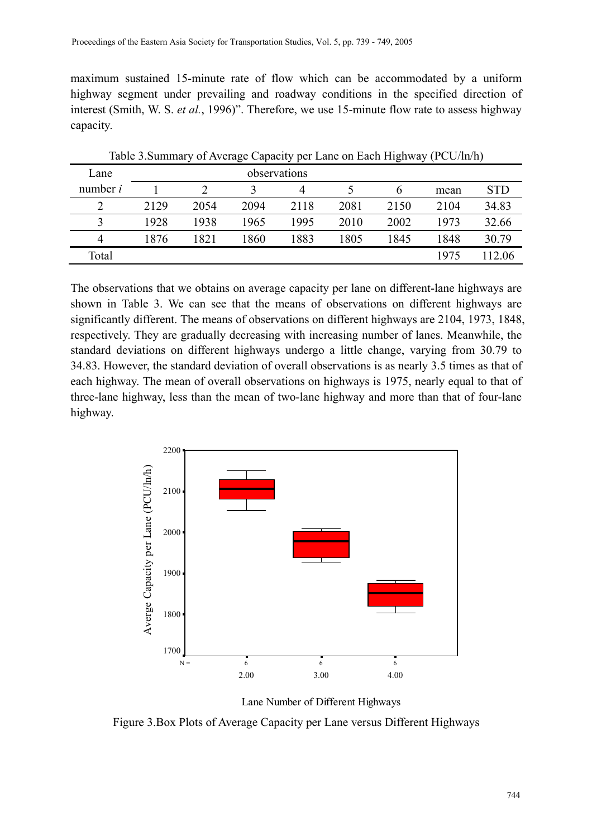maximum sustained 15-minute rate of flow which can be accommodated by a uniform highway segment under prevailing and roadway conditions in the specified direction of interest (Smith, W. S. *et al.*, 1996)". Therefore, we use 15-minute flow rate to assess highway capacity.

| Table 3. Summary of Average Capacity per Lane on Each Highway (PCU/ln/h) |              |      |      |      |      |      |      |            |
|--------------------------------------------------------------------------|--------------|------|------|------|------|------|------|------------|
| Lane                                                                     | observations |      |      |      |      |      |      |            |
| number $i$                                                               |              |      |      | 4    |      | b    | mean | <b>STD</b> |
| 2                                                                        | 2129         | 2054 | 2094 | 2118 | 2081 | 2150 | 2104 | 34.83      |
|                                                                          | 1928         | 1938 | 1965 | 1995 | 2010 | 2002 | 1973 | 32.66      |
| $\overline{4}$                                                           | 1876         | 1821 | 1860 | 1883 | 1805 | 1845 | 1848 | 30.79      |
| Total                                                                    |              |      |      |      |      |      | 1975 | 112.06     |

The observations that we obtains on average capacity per lane on different-lane highways are shown in Table 3. We can see that the means of observations on different highways are significantly different. The means of observations on different highways are 2104, 1973, 1848, respectively. They are gradually decreasing with increasing number of lanes. Meanwhile, the standard deviations on different highways undergo a little change, varying from 30.79 to 34.83. However, the standard deviation of overall observations is as nearly 3.5 times as that of each highway. The mean of overall observations on highways is 1975, nearly equal to that of three-lane highway, less than the mean of two-lane highway and more than that of four-lane highway.



Lane Number of Different Highways

Figure 3.Box Plots of Average Capacity per Lane versus Different Highways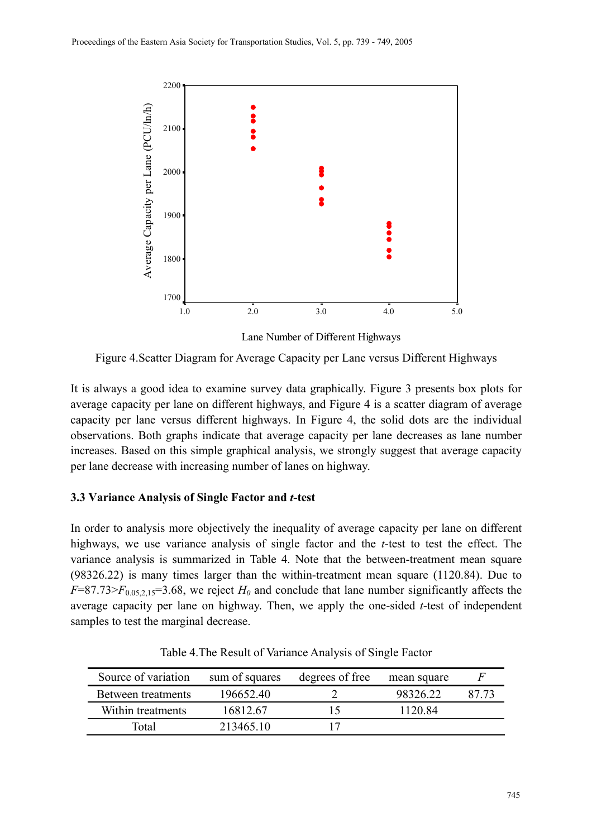

Lane Number of Different Highways

Figure 4.Scatter Diagram for Average Capacity per Lane versus Different Highways

It is always a good idea to examine survey data graphically. Figure 3 presents box plots for average capacity per lane on different highways, and Figure 4 is a scatter diagram of average capacity per lane versus different highways. In Figure 4, the solid dots are the individual observations. Both graphs indicate that average capacity per lane decreases as lane number increases. Based on this simple graphical analysis, we strongly suggest that average capacity per lane decrease with increasing number of lanes on highway.

## **3.3 Variance Analysis of Single Factor and** *t***-test**

In order to analysis more objectively the inequality of average capacity per lane on different highways, we use variance analysis of single factor and the *t*-test to test the effect. The variance analysis is summarized in Table 4. Note that the between-treatment mean square (98326.22) is many times larger than the within-treatment mean square (1120.84). Due to  $F=87.73>F_{0.05,2.15}=3.68$ , we reject  $H_0$  and conclude that lane number significantly affects the average capacity per lane on highway. Then, we apply the one-sided *t*-test of independent samples to test the marginal decrease.

| Source of variation | sum of squares | degrees of free | mean square |       |
|---------------------|----------------|-----------------|-------------|-------|
| Between treatments  | 19665240       |                 | 9832622     | 87.73 |
| Within treatments   | 16812.67       |                 | 1120.84     |       |
| Total               | 213465 10      |                 |             |       |

Table 4.The Result of Variance Analysis of Single Factor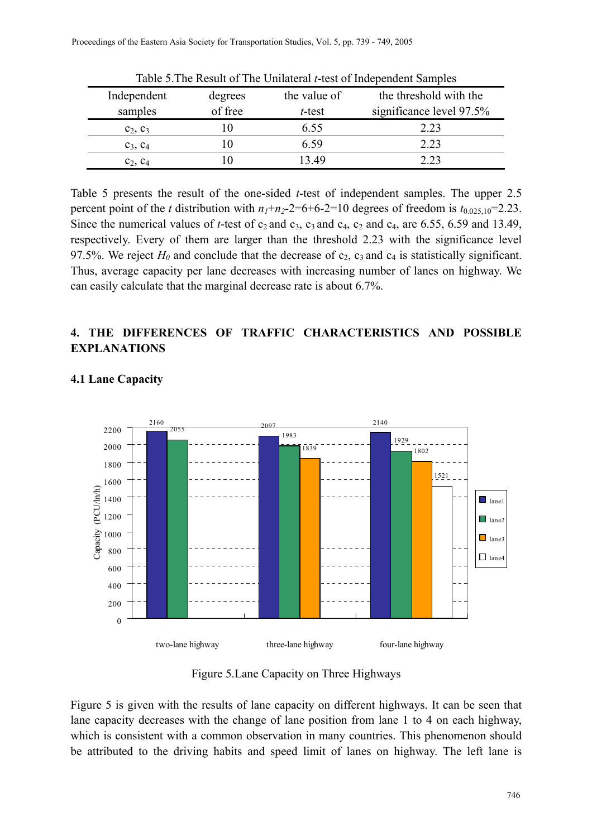| Table 5. The Result of The Unilateral <i>t</i> -test of Independent Samples |         |              |                          |  |  |
|-----------------------------------------------------------------------------|---------|--------------|--------------------------|--|--|
| Independent                                                                 | degrees | the value of | the threshold with the   |  |  |
| samples                                                                     | of free | t-test       | significance level 97.5% |  |  |
| $c_2, c_3$                                                                  |         | 6.55         | 2.23                     |  |  |
| $C_3, C_4$                                                                  |         | 6.59         | 2.23                     |  |  |
| $C_2, C_4$                                                                  |         | 3.49         | 2.23                     |  |  |

Table 5 presents the result of the one-sided *t*-test of independent samples. The upper 2.5 percent point of the *t* distribution with  $n_1+n_2-2=6+6-2=10$  degrees of freedom is  $t_{0.025,10}=2.23$ . Since the numerical values of *t*-test of  $c_2$  and  $c_3$ ,  $c_3$  and  $c_4$ ,  $c_2$  and  $c_4$ , are 6.55, 6.59 and 13.49, respectively. Every of them are larger than the threshold 2.23 with the significance level 97.5%. We reject  $H_0$  and conclude that the decrease of  $c_2$ ,  $c_3$  and  $c_4$  is statistically significant. Thus, average capacity per lane decreases with increasing number of lanes on highway. We can easily calculate that the marginal decrease rate is about 6.7%.

## **4. THE DIFFERENCES OF TRAFFIC CHARACTERISTICS AND POSSIBLE EXPLANATIONS**



# **4.1 Lane Capacity**

Figure 5.Lane Capacity on Three Highways

Figure 5 is given with the results of lane capacity on different highways. It can be seen that lane capacity decreases with the change of lane position from lane 1 to 4 on each highway, which is consistent with a common observation in many countries. This phenomenon should be attributed to the driving habits and speed limit of lanes on highway. The left lane is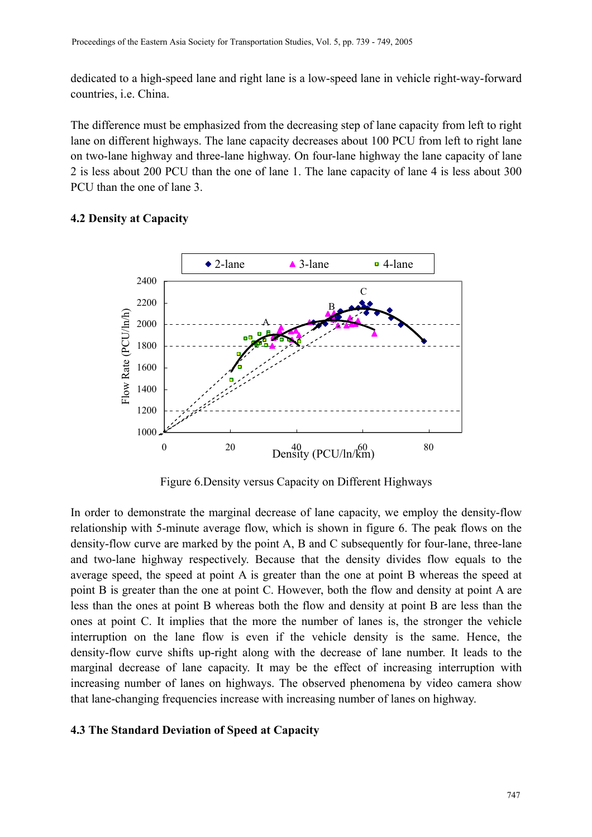dedicated to a high-speed lane and right lane is a low-speed lane in vehicle right-way-forward countries, i.e. China.

The difference must be emphasized from the decreasing step of lane capacity from left to right lane on different highways. The lane capacity decreases about 100 PCU from left to right lane on two-lane highway and three-lane highway. On four-lane highway the lane capacity of lane 2 is less about 200 PCU than the one of lane 1. The lane capacity of lane 4 is less about 300 PCU than the one of lane 3.

#### **4.2 Density at Capacity**



Figure 6.Density versus Capacity on Different Highways

In order to demonstrate the marginal decrease of lane capacity, we employ the density-flow relationship with 5-minute average flow, which is shown in figure 6. The peak flows on the density-flow curve are marked by the point A, B and C subsequently for four-lane, three-lane and two-lane highway respectively. Because that the density divides flow equals to the average speed, the speed at point A is greater than the one at point B whereas the speed at point B is greater than the one at point C. However, both the flow and density at point A are less than the ones at point B whereas both the flow and density at point B are less than the ones at point C. It implies that the more the number of lanes is, the stronger the vehicle interruption on the lane flow is even if the vehicle density is the same. Hence, the density-flow curve shifts up-right along with the decrease of lane number. It leads to the marginal decrease of lane capacity. It may be the effect of increasing interruption with increasing number of lanes on highways. The observed phenomena by video camera show that lane-changing frequencies increase with increasing number of lanes on highway.

#### **4.3 The Standard Deviation of Speed at Capacity**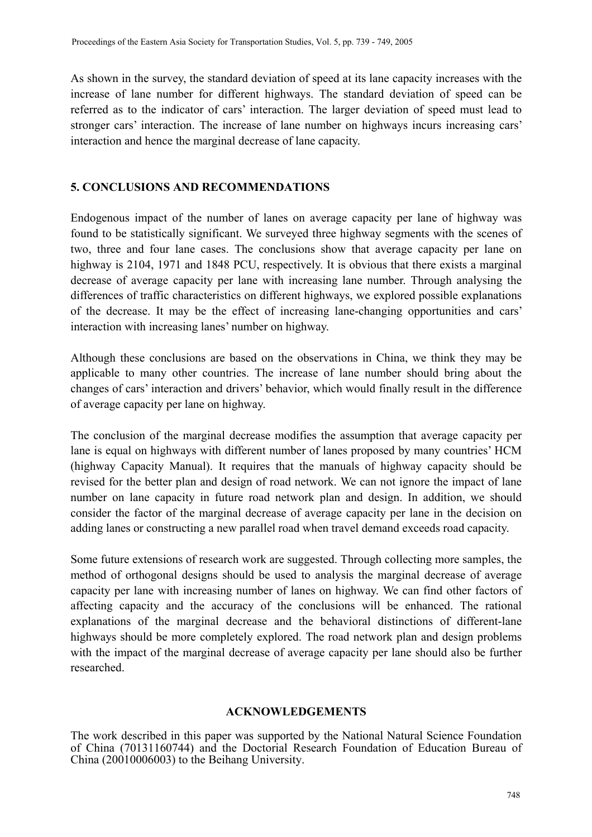As shown in the survey, the standard deviation of speed at its lane capacity increases with the increase of lane number for different highways. The standard deviation of speed can be referred as to the indicator of cars' interaction. The larger deviation of speed must lead to stronger cars' interaction. The increase of lane number on highways incurs increasing cars' interaction and hence the marginal decrease of lane capacity.

## **5. CONCLUSIONS AND RECOMMENDATIONS**

Endogenous impact of the number of lanes on average capacity per lane of highway was found to be statistically significant. We surveyed three highway segments with the scenes of two, three and four lane cases. The conclusions show that average capacity per lane on highway is 2104, 1971 and 1848 PCU, respectively. It is obvious that there exists a marginal decrease of average capacity per lane with increasing lane number. Through analysing the differences of traffic characteristics on different highways, we explored possible explanations of the decrease. It may be the effect of increasing lane-changing opportunities and cars' interaction with increasing lanes' number on highway.

Although these conclusions are based on the observations in China, we think they may be applicable to many other countries. The increase of lane number should bring about the changes of cars' interaction and drivers' behavior, which would finally result in the difference of average capacity per lane on highway.

The conclusion of the marginal decrease modifies the assumption that average capacity per lane is equal on highways with different number of lanes proposed by many countries' HCM (highway Capacity Manual). It requires that the manuals of highway capacity should be revised for the better plan and design of road network. We can not ignore the impact of lane number on lane capacity in future road network plan and design. In addition, we should consider the factor of the marginal decrease of average capacity per lane in the decision on adding lanes or constructing a new parallel road when travel demand exceeds road capacity.

Some future extensions of research work are suggested. Through collecting more samples, the method of orthogonal designs should be used to analysis the marginal decrease of average capacity per lane with increasing number of lanes on highway. We can find other factors of affecting capacity and the accuracy of the conclusions will be enhanced. The rational explanations of the marginal decrease and the behavioral distinctions of different-lane highways should be more completely explored. The road network plan and design problems with the impact of the marginal decrease of average capacity per lane should also be further researched.

## **ACKNOWLEDGEMENTS**

The work described in this paper was supported by the National Natural Science Foundation of China (70131160744) and the Doctorial Research Foundation of Education Bureau of China (20010006003) to the Beihang University.